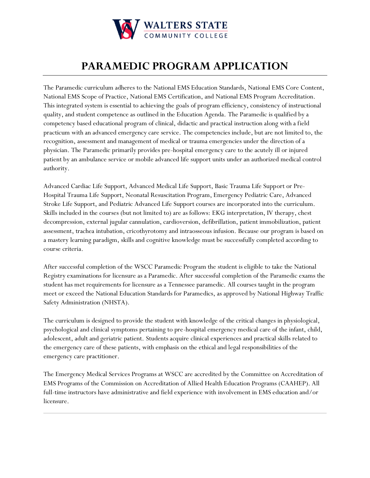

## **PARAMEDIC PROGRAM APPLICATION**

The Paramedic curriculum adheres to the National EMS Education Standards, National EMS Core Content, National EMS Scope of Practice, National EMS Certification, and National EMS Program Accreditation. This integrated system is essential to achieving the goals of program efficiency, consistency of instructional quality, and student competence as outlined in the Education Agenda. The Paramedic is qualified by a competency based educational program of clinical, didactic and practical instruction along with a field practicum with an advanced emergency care service. The competencies include, but are not limited to, the recognition, assessment and management of medical or trauma emergencies under the direction of a physician. The Paramedic primarily provides pre-hospital emergency care to the acutely ill or injured patient by an ambulance service or mobile advanced life support units under an authorized medical control authority.

Advanced Cardiac Life Support, Advanced Medical Life Support, Basic Trauma Life Support or Pre-Hospital Trauma Life Support, Neonatal Resuscitation Program, Emergency Pediatric Care, Advanced Stroke Life Support, and Pediatric Advanced Life Support courses are incorporated into the curriculum. Skills included in the courses (but not limited to) are as follows: EKG interpretation, IV therapy, chest decompression, external jugular cannulation, cardioversion, defibrillation, patient immobilization, patient assessment, trachea intubation, cricothyrotomy and intraosseous infusion. Because our program is based on a mastery learning paradigm, skills and cognitive knowledge must be successfully completed according to course criteria.

After successful completion of the WSCC Paramedic Program the student is eligible to take the National Registry examinations for licensure as a Paramedic. After successful completion of the Paramedic exams the student has met requirements for licensure as a Tennessee paramedic. All courses taught in the program meet or exceed the National Education Standards for Paramedics, as approved by National Highway Traffic Safety Administration (NHSTA).

The curriculum is designed to provide the student with knowledge of the critical changes in physiological, psychological and clinical symptoms pertaining to pre-hospital emergency medical care of the infant, child, adolescent, adult and geriatric patient. Students acquire clinical experiences and practical skills related to the emergency care of these patients, with emphasis on the ethical and legal responsibilities of the emergency care practitioner.

The Emergency Medical Services Programs at WSCC are accredited by the Committee on Accreditation of EMS Programs of the Commission on Accreditation of Allied Health Education Programs (CAAHEP). All full-time instructors have administrative and field experience with involvement in EMS education and/or licensure.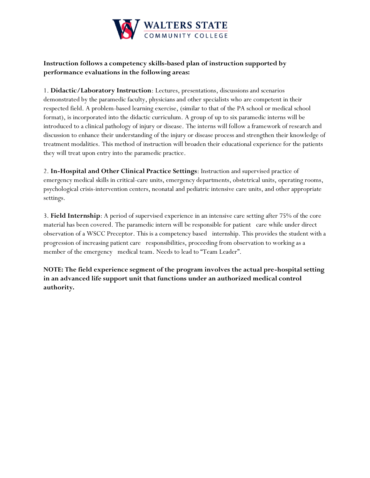

### **Instruction follows a competency skills-based plan of instruction supported by performance evaluations in the following areas:**

1. **Didactic/Laboratory Instruction**: Lectures, presentations, discussions and scenarios demonstrated by the paramedic faculty, physicians and other specialists who are competent in their respected field. A problem-based learning exercise, (similar to that of the PA school or medical school format), is incorporated into the didactic curriculum. A group of up to six paramedic interns will be introduced to a clinical pathology of injury or disease. The interns will follow a framework of research and discussion to enhance their understanding of the injury or disease process and strengthen their knowledge of treatment modalities. This method of instruction will broaden their educational experience for the patients they will treat upon entry into the paramedic practice.

2. **In-Hospital and Other Clinical Practice Settings**: Instruction and supervised practice of emergency medical skills in critical-care units, emergency departments, obstetrical units, operating rooms, psychological crisis-intervention centers, neonatal and pediatric intensive care units, and other appropriate settings.

3. **Field Internship**: A period of supervised experience in an intensive care setting after 75% of the core material has been covered. The paramedic intern will be responsible for patient care while under direct observation of a WSCC Preceptor. This is a competency based internship. This provides the student with a progression of increasing patient care responsibilities, proceeding from observation to working as a member of the emergency medical team. Needs to lead to "Team Leader".

**NOTE: The field experience segment of the program involves the actual pre-hospital setting in an advanced life support unit that functions under an authorized medical control authority.**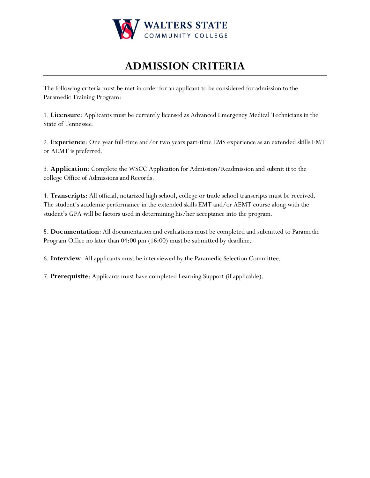

## **ADMISSION CRITERIA**

The following criteria must be met in order for an applicant to be considered for admission to the Paramedic Training Program:

1. **Licensure**: Applicants must be currently licensed as Advanced Emergency Medical Technicians in the State of Tennessee.

2. **Experience**: One year full-time and/or two years part-time EMS experience as an extended skills EMT or AEMT is preferred.

3. **Application**: Complete the WSCC Application for Admission/Readmission and submit it to the college Office of Admissions and Records.

4. **Transcripts**: All official, notarized high school, college or trade school transcripts must be received. The student's academic performance in the extended skills EMT and/or AEMT course along with the student's GPA will be factors used in determining his/her acceptance into the program.

5. **Documentation**: All documentation and evaluations must be completed and submitted to Paramedic Program Office no later than 04:00 pm (16:00) must be submitted by deadline.

6. **Interview**: All applicants must be interviewed by the Paramedic Selection Committee.

7. **Prerequisite**: Applicants must have completed Learning Support (if applicable).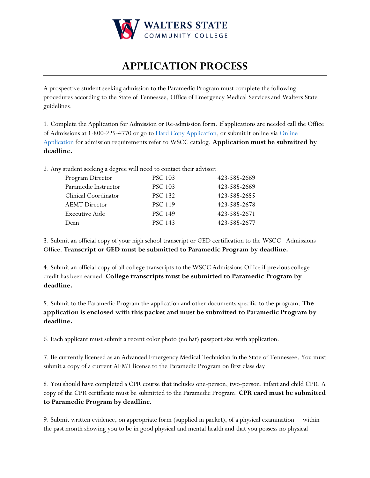

### **APPLICATION PROCESS**

A prospective student seeking admission to the Paramedic Program must complete the following procedures according to the State of Tennessee, Office of Emergency Medical Services and Walters State guidelines.

1. Complete the Application for Admission or Re-admission form. If applications are needed call the Office of Admissions at 1-800-225-4770 or go to [Hard Copy Application,](http://www.ws.edu/_media/pdf/admissions/applications/wscc-application-20140923.pdf) or submit it online via Online [Application](http://www.ws.edu/admissions/) for admission requirements refer to WSCC catalog. **Application must be submitted by deadline.**

2. Any student seeking a degree will need to contact their advisor:

| Program Director      | <b>PSC 103</b> | 423-585-2669 |
|-----------------------|----------------|--------------|
| Paramedic Instructor  | <b>PSC 103</b> | 423-585-2669 |
| Clinical Coordinator  | <b>PSC 132</b> | 423-585-2655 |
| <b>AEMT</b> Director  | <b>PSC 119</b> | 423-585-2678 |
| <b>Executive Aide</b> | <b>PSC 149</b> | 423-585-2671 |
| Dean                  | <b>PSC 143</b> | 423-585-2677 |
|                       |                |              |

3. Submit an official copy of your high school transcript or GED certification to the WSCC Admissions Office. **Transcript or GED must be submitted to Paramedic Program by deadline.**

4. Submit an official copy of all college transcripts to the WSCC Admissions Office if previous college credit has been earned. **College transcripts must be submitted to Paramedic Program by deadline.**

5. Submit to the Paramedic Program the application and other documents specific to the program. **The application is enclosed with this packet and must be submitted to Paramedic Program by deadline.**

6. Each applicant must submit a recent color photo (no hat) passport size with application.

7. Be currently licensed as an Advanced Emergency Medical Technician in the State of Tennessee. You must submit a copy of a current AEMT license to the Paramedic Program on first class day.

8. You should have completed a CPR course that includes one-person, two-person, infant and child CPR. A copy of the CPR certificate must be submitted to the Paramedic Program. **CPR card must be submitted to Paramedic Program by deadline.**

9. Submit written evidence, on appropriate form (supplied in packet), of a physical examination within the past month showing you to be in good physical and mental health and that you possess no physical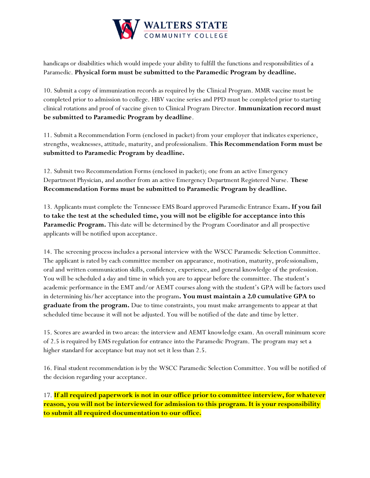

handicaps or disabilities which would impede your ability to fulfill the functions and responsibilities of a Paramedic. **Physical form must be submitted to the Paramedic Program by deadline.**

10. Submit a copy of immunization records as required by the Clinical Program. MMR vaccine must be completed prior to admission to college. HBV vaccine series and PPD must be completed prior to starting clinical rotations and proof of vaccine given to Clinical Program Director. **Immunization record must be submitted to Paramedic Program by deadline**.

11. Submit a Recommendation Form (enclosed in packet) from your employer that indicates experience, strengths, weaknesses, attitude, maturity, and professionalism. **This Recommendation Form must be submitted to Paramedic Program by deadline.**

12. Submit two Recommendation Forms (enclosed in packet); one from an active Emergency Department Physician, and another from an active Emergency Department Registered Nurse. **These Recommendation Forms must be submitted to Paramedic Program by deadline.**

13. Applicants must complete the Tennessee EMS Board approved Paramedic Entrance Exam**. If you fail to take the test at the scheduled time, you will not be eligible for acceptance into this Paramedic Program.** This date will be determined by the Program Coordinator and all prospective applicants will be notified upon acceptance.

14. The screening process includes a personal interview with the WSCC Paramedic Selection Committee. The applicant is rated by each committee member on appearance, motivation, maturity, professionalism, oral and written communication skills, confidence, experience, and general knowledge of the profession. You will be scheduled a day and time in which you are to appear before the committee. The student's academic performance in the EMT and/or AEMT courses along with the student's GPA will be factors used in determining his/her acceptance into the program**. You must maintain a 2.0 cumulative GPA to graduate from the program.** Due to time constraints, you must make arrangements to appear at that scheduled time because it will not be adjusted. You will be notified of the date and time by letter.

15. Scores are awarded in two areas: the interview and AEMT knowledge exam. An overall minimum score of 2.5 is required by EMS regulation for entrance into the Paramedic Program. The program may set a higher standard for acceptance but may not set it less than 2.5.

16. Final student recommendation is by the WSCC Paramedic Selection Committee. You will be notified of the decision regarding your acceptance.

17. **If all required paperwork is not in our office prior to committee interview, for whatever reason, you will not be interviewed for admission to this program. It is your responsibility to submit all required documentation to our office.**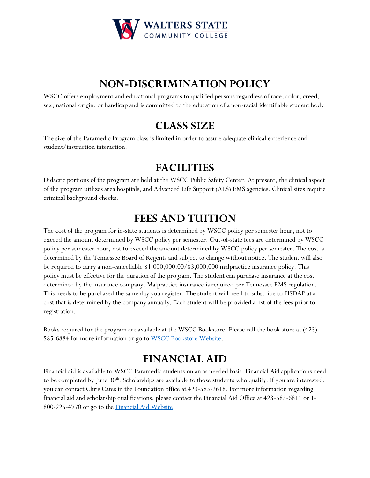

### **NON-DISCRIMINATION POLICY**

WSCC offers employment and educational programs to qualified persons regardless of race, color, creed, sex, national origin, or handicap and is committed to the education of a non-racial identifiable student body.

### **CLASS SIZE**

The size of the Paramedic Program class is limited in order to assure adequate clinical experience and student/instruction interaction.

### **FACILITIES**

Didactic portions of the program are held at the WSCC Public Safety Center. At present, the clinical aspect of the program utilizes area hospitals, and Advanced Life Support (ALS) EMS agencies. Clinical sites require criminal background checks.

### **FEES AND TUITION**

The cost of the program for in-state students is determined by WSCC policy per semester hour, not to exceed the amount determined by WSCC policy per semester. Out-of-state fees are determined by WSCC policy per semester hour, not to exceed the amount determined by WSCC policy per semester. The cost is determined by the Tennessee Board of Regents and subject to change without notice. The student will also be required to carry a non-cancellable \$1,000,000.00/\$3,000,000 malpractice insurance policy. This policy must be effective for the duration of the program. The student can purchase insurance at the cost determined by the insurance company. Malpractice insurance is required per Tennessee EMS regulation. This needs to be purchased the same day you register. The student will need to subscribe to FISDAP at a cost that is determined by the company annually. Each student will be provided a list of the fees prior to registration.

Books required for the program are available at the WSCC Bookstore. Please call the book store at (423) 585-6884 for more information or go to **WSCC Bookstore Website**.

### **FINANCIAL AID**

Financial aid is available to WSCC Paramedic students on an as needed basis. Financial Aid applications need to be completed by June  $30<sup>th</sup>$ . Scholarships are available to those students who qualify. If you are interested, you can contact Chris Cates in the Foundation office at 423-585-2618. For more information regarding financial aid and scholarship qualifications, please contact the Financial Aid Office at 423-585-6811 or 1- 800-225-4770 or go to the **Financial Aid Website**.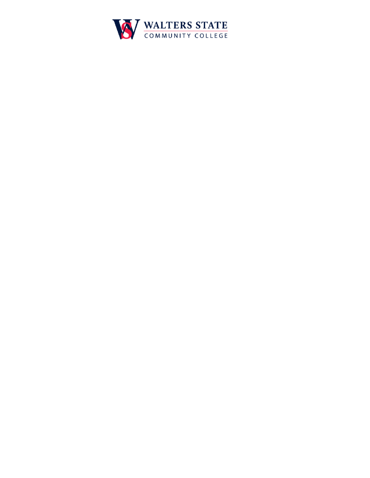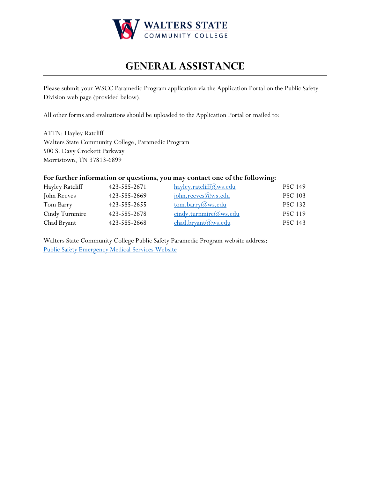

### **GENERAL ASSISTANCE**

Please submit your WSCC Paramedic Program application via the Application Portal on the Public Safety Division web page (provided below).

All other forms and evaluations should be uploaded to the Application Portal or mailed to:

ATTN: Hayley Ratcliff Walters State Community College, Paramedic Program 500 S. Davy Crockett Parkway Morristown, TN 37813-6899

#### **For further information or questions, you may contact one of the following:**

| Hayley Ratcliff | 423-585-2671 | hayley.ratcliff@ws.edu                   | <b>PSC 149</b> |
|-----------------|--------------|------------------------------------------|----------------|
| John Reeves     | 423-585-2669 | john.reeves@ws.edu                       | <b>PSC 103</b> |
| Tom Barry       | 423-585-2655 | $\underline{\text{tom.barry}(a)}$ ws.edu | <b>PSC 132</b> |
| Cindy Turnmire  | 423-585-2678 | cindy.turnmire@ws.edu                    | <b>PSC 119</b> |
| Chad Bryant     | 423-585-2668 | chad.bryant(a)ws.edu                     | <b>PSC 143</b> |

Walters State Community College Public Safety Paramedic Program website address: [Public Safety Emergency Medical Services Website](http://www.ws.edu/academics/public-safety/medical-services/)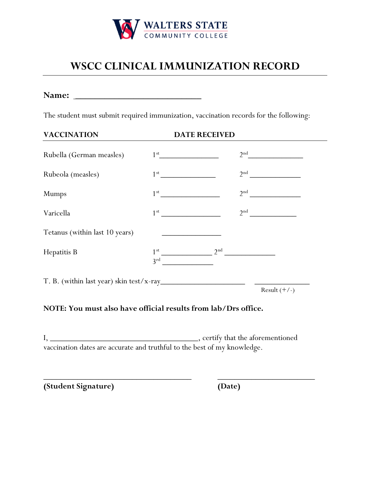

### **WSCC CLINICAL IMMUNIZATION RECORD**

### **Name: \_\_\_\_\_\_\_\_\_\_\_\_\_\_\_\_\_\_\_\_\_\_\_\_\_\_**

The student must submit required immunization, vaccination records for the following:

| <b>VACCINATION</b>             | <b>DATE RECEIVED</b>                                                        |                 |
|--------------------------------|-----------------------------------------------------------------------------|-----------------|
| Rubella (German measles)       | 1 <sup>st</sup>                                                             | $2^{\text{nd}}$ |
| Rubeola (measles)              | $1^{\rm st}$                                                                | $2^{\text{nd}}$ |
| <b>Mumps</b>                   | $1^{\rm st}$                                                                | $2^{\text{nd}}$ |
| Varicella                      | 1 <sup>st</sup>                                                             | $2^{\text{nd}}$ |
| Tetanus (within last 10 years) |                                                                             |                 |
| Hepatitis B                    | $1^{st}$ 2 <sup>nd</sup> 2 <sup>nd</sup> 2 <sup>nd</sup><br>$3^{\text{rd}}$ |                 |
|                                |                                                                             | Result $(+/-)$  |

### **NOTE: You must also have official results from lab/Drs office.**

I, \_\_\_\_\_\_\_\_\_\_\_\_\_\_\_\_\_\_\_\_\_\_\_\_\_\_\_\_\_\_\_\_\_\_\_, certify that the aforementioned vaccination dates are accurate and truthful to the best of my knowledge.

**\_\_\_\_\_\_\_\_\_\_\_\_\_\_\_\_\_\_\_\_\_\_\_\_\_\_\_\_\_\_\_\_\_\_\_ \_\_\_\_\_\_\_\_\_\_\_\_\_\_\_\_\_\_\_\_\_\_\_**

**(Student Signature) (Date)**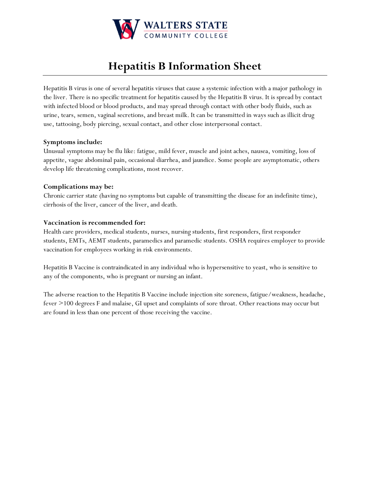

## **Hepatitis B Information Sheet**

Hepatitis B virus is one of several hepatitis viruses that cause a systemic infection with a major pathology in the liver. There is no specific treatment for hepatitis caused by the Hepatitis B virus. It is spread by contact with infected blood or blood products, and may spread through contact with other body fluids, such as urine, tears, semen, vaginal secretions, and breast milk. It can be transmitted in ways such as illicit drug use, tattooing, body piercing, sexual contact, and other close interpersonal contact.

#### **Symptoms include:**

Unusual symptoms may be flu like: fatigue, mild fever, muscle and joint aches, nausea, vomiting, loss of appetite, vague abdominal pain, occasional diarrhea, and jaundice. Some people are asymptomatic, others develop life threatening complications, most recover.

#### **Complications may be:**

Chronic carrier state (having no symptoms but capable of transmitting the disease for an indefinite time), cirrhosis of the liver, cancer of the liver, and death.

#### **Vaccination is recommended for:**

Health care providers, medical students, nurses, nursing students, first responders, first responder students, EMTs, AEMT students, paramedics and paramedic students. OSHA requires employer to provide vaccination for employees working in risk environments.

Hepatitis B Vaccine is contraindicated in any individual who is hypersensitive to yeast, who is sensitive to any of the components, who is pregnant or nursing an infant.

The adverse reaction to the Hepatitis B Vaccine include injection site soreness, fatigue/weakness, headache, fever >100 degrees F and malaise, GI upset and complaints of sore throat. Other reactions may occur but are found in less than one percent of those receiving the vaccine.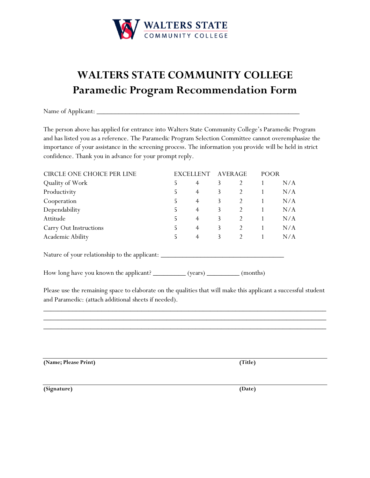

# **WALTERS STATE COMMUNITY COLLEGE Paramedic Program Recommendation Form**

Name of Applicant:

The person above has applied for entrance into Walters State Community College's Paramedic Program and has listed you as a reference. The Paramedic Program Selection Committee cannot overemphasize the importance of your assistance in the screening process. The information you provide will be held in strict confidence. Thank you in advance for your prompt reply.

| <b>CIRCLE ONE CHOICE PER LINE</b>             |   | <b>EXCELLENT</b> |   | AVERAGE        |  | <b>POOR</b> |  |
|-----------------------------------------------|---|------------------|---|----------------|--|-------------|--|
| Quality of Work                               |   | 4                | 3 | 2              |  | N/A         |  |
| Productivity                                  |   | 4                | 3 | $\overline{2}$ |  | N/A         |  |
| Cooperation                                   |   | 4                | 3 | 2              |  | N/A         |  |
| Dependability                                 |   | 4                | 3 | 2              |  | N/A         |  |
| Attitude                                      | 5 | 4                | 3 | 2              |  | N/A         |  |
| Carry Out Instructions                        |   | $\overline{4}$   | 3 | 2              |  | N/A         |  |
| Academic Ability                              |   | 4                | 3 | $\mathcal{P}$  |  | N/A         |  |
| Nature of your relationship to the applicant: |   |                  |   |                |  |             |  |

How long have you known the applicant? \_\_\_\_\_\_\_\_\_ (years) \_\_\_\_\_\_\_\_\_ (months)

Please use the remaining space to elaborate on the qualities that will make this applicant a successful student and Paramedic: (attach additional sheets if needed).

\_\_\_\_\_\_\_\_\_\_\_\_\_\_\_\_\_\_\_\_\_\_\_\_\_\_\_\_\_\_\_\_\_\_\_\_\_\_\_\_\_\_\_\_\_\_\_\_\_\_\_\_\_\_\_\_\_\_\_\_\_\_\_\_\_\_\_\_\_\_\_\_\_\_\_\_\_\_ \_\_\_\_\_\_\_\_\_\_\_\_\_\_\_\_\_\_\_\_\_\_\_\_\_\_\_\_\_\_\_\_\_\_\_\_\_\_\_\_\_\_\_\_\_\_\_\_\_\_\_\_\_\_\_\_\_\_\_\_\_\_\_\_\_\_\_\_\_\_\_\_\_\_\_\_\_\_ \_\_\_\_\_\_\_\_\_\_\_\_\_\_\_\_\_\_\_\_\_\_\_\_\_\_\_\_\_\_\_\_\_\_\_\_\_\_\_\_\_\_\_\_\_\_\_\_\_\_\_\_\_\_\_\_\_\_\_\_\_\_\_\_\_\_\_\_\_\_\_\_\_\_\_\_\_\_

**(Name; Please Print) (Title)**

**(Signature) (Date)**